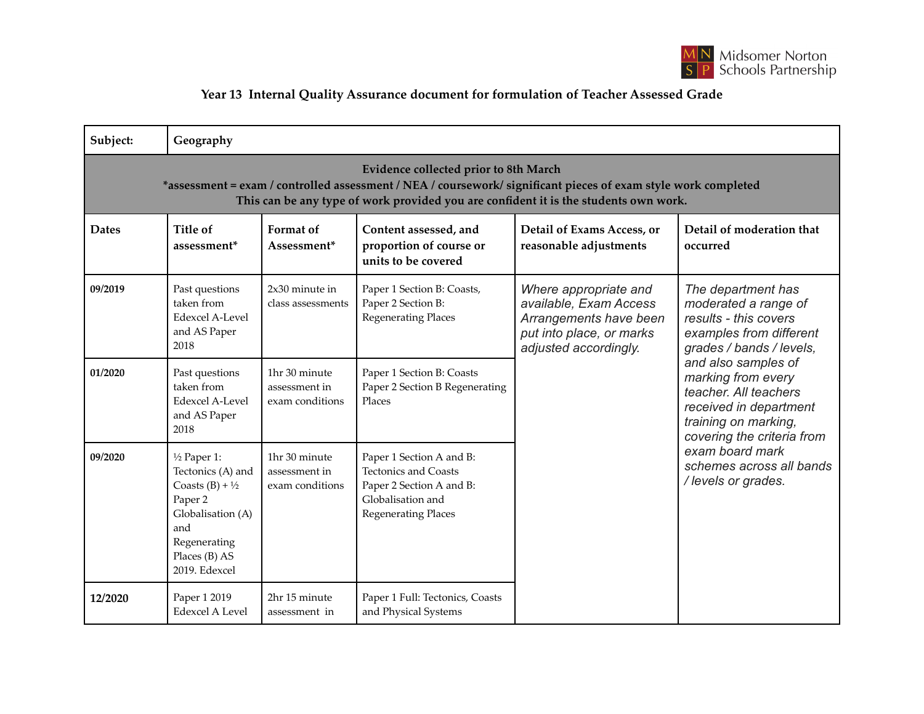

## **Year 13 Internal Quality Assurance document for formulation of Teacher Assessed Grade**

| Subject:                                                                                                                                                                                                                                               | Geography                                                                                                                                                          |                                                   |                                                                                                                                        |                                                                                                                                |                                                                                                                                                                                                                                                                                                                                                        |  |  |  |  |
|--------------------------------------------------------------------------------------------------------------------------------------------------------------------------------------------------------------------------------------------------------|--------------------------------------------------------------------------------------------------------------------------------------------------------------------|---------------------------------------------------|----------------------------------------------------------------------------------------------------------------------------------------|--------------------------------------------------------------------------------------------------------------------------------|--------------------------------------------------------------------------------------------------------------------------------------------------------------------------------------------------------------------------------------------------------------------------------------------------------------------------------------------------------|--|--|--|--|
| <b>Evidence collected prior to 8th March</b><br>*assessment = exam / controlled assessment / NEA / coursework/ significant pieces of exam style work completed<br>This can be any type of work provided you are confident it is the students own work. |                                                                                                                                                                    |                                                   |                                                                                                                                        |                                                                                                                                |                                                                                                                                                                                                                                                                                                                                                        |  |  |  |  |
| <b>Dates</b>                                                                                                                                                                                                                                           | Title of<br>assessment <sup>*</sup>                                                                                                                                | Format of<br>Assessment*                          | Content assessed, and<br>proportion of course or<br>units to be covered                                                                | Detail of Exams Access, or<br>reasonable adjustments                                                                           | Detail of moderation that<br>occurred                                                                                                                                                                                                                                                                                                                  |  |  |  |  |
| 09/2019                                                                                                                                                                                                                                                | Past questions<br>taken from<br>Edexcel A-Level<br>and AS Paper<br>2018                                                                                            | $2x30$ minute in<br>class assessments             | Paper 1 Section B: Coasts,<br>Paper 2 Section B:<br><b>Regenerating Places</b>                                                         | Where appropriate and<br>available, Exam Access<br>Arrangements have been<br>put into place, or marks<br>adjusted accordingly. | The department has<br>moderated a range of<br>results - this covers<br>examples from different<br>grades / bands / levels,<br>and also samples of<br>marking from every<br>teacher. All teachers<br>received in department<br>training on marking,<br>covering the criteria from<br>exam board mark<br>schemes across all bands<br>/ levels or grades. |  |  |  |  |
| 01/2020                                                                                                                                                                                                                                                | Past questions<br>taken from<br><b>Edexcel A-Level</b><br>and AS Paper<br>2018                                                                                     | 1hr 30 minute<br>assessment in<br>exam conditions | Paper 1 Section B: Coasts<br>Paper 2 Section B Regenerating<br>Places                                                                  |                                                                                                                                |                                                                                                                                                                                                                                                                                                                                                        |  |  |  |  |
| 09/2020                                                                                                                                                                                                                                                | $\frac{1}{2}$ Paper 1:<br>Tectonics (A) and<br>Coasts $(B) + \frac{1}{2}$<br>Paper 2<br>Globalisation (A)<br>and<br>Regenerating<br>Places (B) AS<br>2019. Edexcel | 1hr 30 minute<br>assessment in<br>exam conditions | Paper 1 Section A and B:<br><b>Tectonics and Coasts</b><br>Paper 2 Section A and B:<br>Globalisation and<br><b>Regenerating Places</b> |                                                                                                                                |                                                                                                                                                                                                                                                                                                                                                        |  |  |  |  |
| 12/2020                                                                                                                                                                                                                                                | Paper 1 2019<br><b>Edexcel A Level</b>                                                                                                                             | 2hr 15 minute<br>assessment in                    | Paper 1 Full: Tectonics, Coasts<br>and Physical Systems                                                                                |                                                                                                                                |                                                                                                                                                                                                                                                                                                                                                        |  |  |  |  |